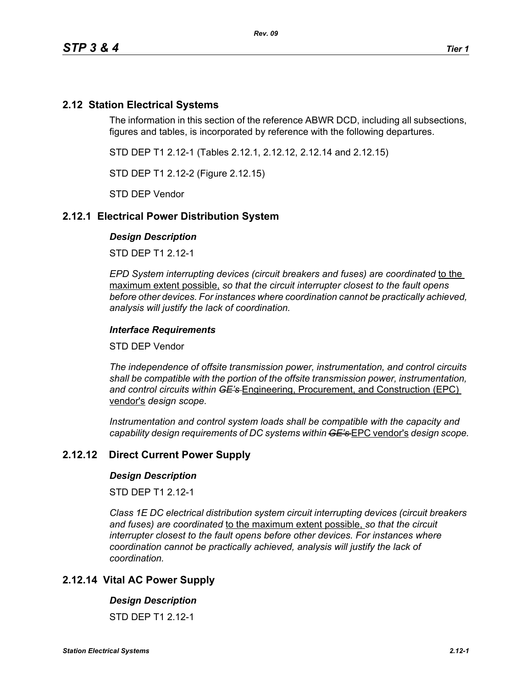# **2.12 Station Electrical Systems**

The information in this section of the reference ABWR DCD, including all subsections, figures and tables, is incorporated by reference with the following departures.

STD DEP T1 2.12-1 (Tables 2.12.1, 2.12.12, 2.12.14 and 2.12.15)

STD DEP T1 2.12-2 (Figure 2.12.15)

STD DEP Vendor

## **2.12.1 Electrical Power Distribution System**

#### *Design Description*

STD DEP T1 2.12-1

*EPD System interrupting devices (circuit breakers and fuses) are coordinated* to the maximum extent possible, *so that the circuit interrupter closest to the fault opens before other devices. For instances where coordination cannot be practically achieved, analysis will justify the lack of coordination.*

#### *Interface Requirements*

STD DEP Vendor

*The independence of offsite transmission power, instrumentation, and control circuits shall be compatible with the portion of the offsite transmission power, instrumentation, and control circuits within GE's* Engineering, Procurement, and Construction (EPC) vendor's *design scope.*

*Instrumentation and control system loads shall be compatible with the capacity and capability design requirements of DC systems within GE's* EPC vendor's *design scope.*

## **2.12.12 Direct Current Power Supply**

#### *Design Description*

STD DFP T1 2 12-1

*Class 1E DC electrical distribution system circuit interrupting devices (circuit breakers and fuses) are coordinated* to the maximum extent possible, *so that the circuit interrupter closest to the fault opens before other devices. For instances where coordination cannot be practically achieved, analysis will justify the lack of coordination.*

## **2.12.14 Vital AC Power Supply**

#### *Design Description*

STD DFP T1 2 12-1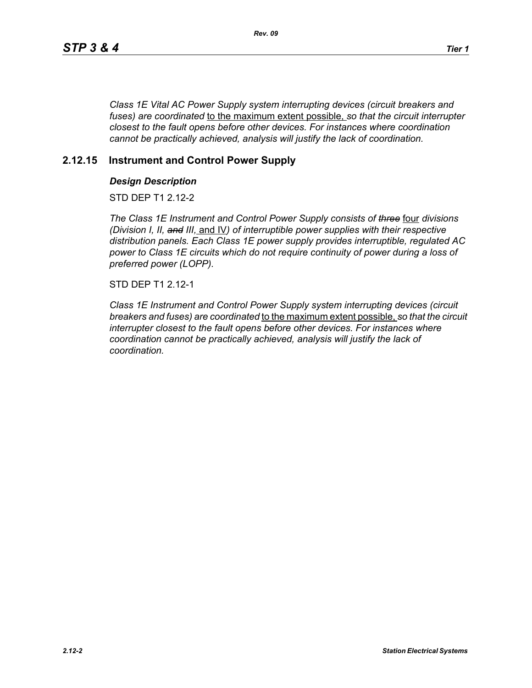*Class 1E Vital AC Power Supply system interrupting devices (circuit breakers and fuses) are coordinated* to the maximum extent possible, *so that the circuit interrupter closest to the fault opens before other devices. For instances where coordination cannot be practically achieved, analysis will justify the lack of coordination.*

# **2.12.15 Instrument and Control Power Supply**

### *Design Description*

STD DFP T1 2 12-2

*The Class 1E Instrument and Control Power Supply consists of three* four *divisions (Division I, II, and III,* and IV*) of interruptible power supplies with their respective distribution panels. Each Class 1E power supply provides interruptible, regulated AC power to Class 1E circuits which do not require continuity of power during a loss of preferred power (LOPP).*

STD DEP T1 2.12-1

*Class 1E Instrument and Control Power Supply system interrupting devices (circuit breakers and fuses) are coordinated* to the maximum extent possible, *so that the circuit interrupter closest to the fault opens before other devices. For instances where coordination cannot be practically achieved, analysis will justify the lack of coordination.*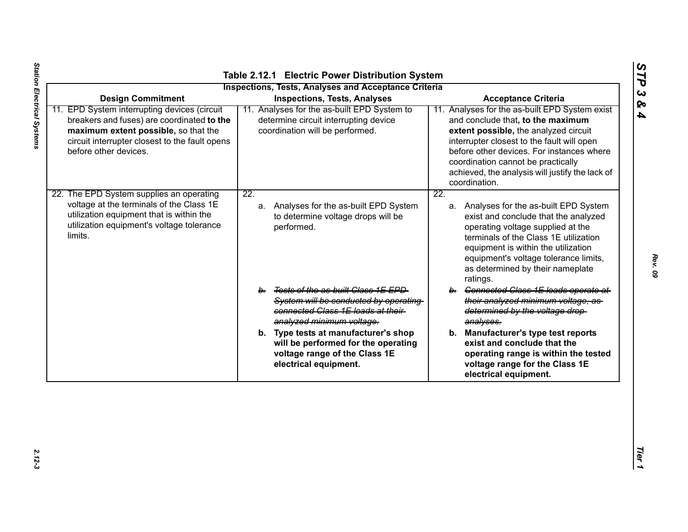| <b>Inspections, Tests, Analyses and Acceptance Criteria</b><br><b>Design Commitment</b><br><b>Inspections, Tests, Analyses</b><br><b>Acceptance Criteria</b>                                                  |                                                                                                                                                  |                                                                                                                                                                                                                                                                                                                                   |  |
|---------------------------------------------------------------------------------------------------------------------------------------------------------------------------------------------------------------|--------------------------------------------------------------------------------------------------------------------------------------------------|-----------------------------------------------------------------------------------------------------------------------------------------------------------------------------------------------------------------------------------------------------------------------------------------------------------------------------------|--|
| 11. EPD System interrupting devices (circuit<br>breakers and fuses) are coordinated to the<br>maximum extent possible, so that the<br>circuit interrupter closest to the fault opens<br>before other devices. | 11. Analyses for the as-built EPD System to<br>determine circuit interrupting device<br>coordination will be performed.                          | 11. Analyses for the as-built EPD System exist<br>and conclude that, to the maximum<br>extent possible, the analyzed circuit<br>interrupter closest to the fault will open<br>before other devices. For instances where<br>coordination cannot be practically<br>achieved, the analysis will justify the lack of<br>coordination. |  |
| 22. The EPD System supplies an operating<br>voltage at the terminals of the Class 1E<br>utilization equipment that is within the<br>utilization equipment's voltage tolerance<br>limits.                      | $\overline{22}$ .<br>a. Analyses for the as-built EPD System<br>to determine voltage drops will be<br>performed.                                 | $\overline{22}$ .<br>a. Analyses for the as-built EPD System<br>exist and conclude that the analyzed<br>operating voltage supplied at the<br>terminals of the Class 1E utilization<br>equipment is within the utilization<br>equipment's voltage tolerance limits,<br>as determined by their nameplate<br>ratings.                |  |
|                                                                                                                                                                                                               | b. Tests of the as-built Class 1E EPD<br>System will be conducted by operating<br>connected Class 1E loads at their<br>analyzed minimum voltage. | b. Connected Class 1E loads operate at<br>their analyzed minimum voltage, as<br>determined by the voltage drop-<br>analyses.                                                                                                                                                                                                      |  |
|                                                                                                                                                                                                               | b. Type tests at manufacturer's shop<br>will be performed for the operating<br>voltage range of the Class 1E<br>electrical equipment.            | b. Manufacturer's type test reports<br>exist and conclude that the<br>operating range is within the tested<br>voltage range for the Class 1E<br>electrical equipment.                                                                                                                                                             |  |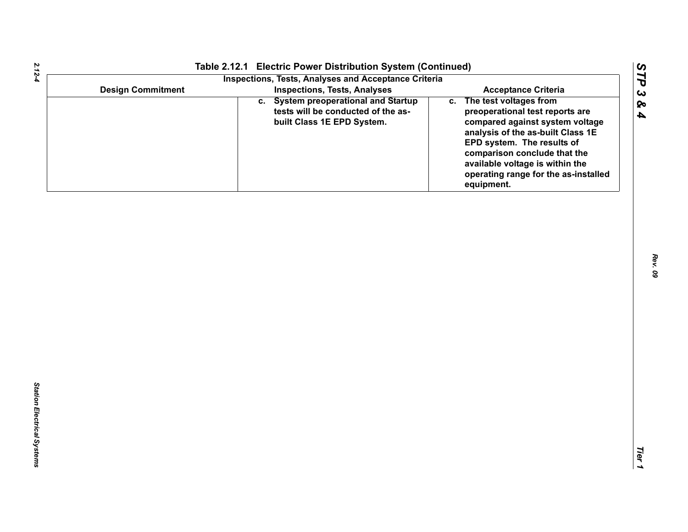| Table 2.12.1 Electric Power Distribution System (Continued)<br><b>Inspections, Tests, Analyses and Acceptance Criteria</b> |                                                                                                          |                                                                                                                                                                                                                                                                                             |
|----------------------------------------------------------------------------------------------------------------------------|----------------------------------------------------------------------------------------------------------|---------------------------------------------------------------------------------------------------------------------------------------------------------------------------------------------------------------------------------------------------------------------------------------------|
| <b>Design Commitment</b>                                                                                                   | <b>Inspections, Tests, Analyses</b>                                                                      | <b>Acceptance Criteria</b>                                                                                                                                                                                                                                                                  |
|                                                                                                                            | c. System preoperational and Startup<br>tests will be conducted of the as-<br>built Class 1E EPD System. | c. The test voltages from<br>preoperational test reports are<br>compared against system voltage<br>analysis of the as-built Class 1E<br>EPD system. The results of<br>comparison conclude that the<br>available voltage is within the<br>operating range for the as-installed<br>equipment. |
|                                                                                                                            |                                                                                                          |                                                                                                                                                                                                                                                                                             |
|                                                                                                                            |                                                                                                          |                                                                                                                                                                                                                                                                                             |
|                                                                                                                            |                                                                                                          |                                                                                                                                                                                                                                                                                             |
|                                                                                                                            |                                                                                                          |                                                                                                                                                                                                                                                                                             |
|                                                                                                                            |                                                                                                          |                                                                                                                                                                                                                                                                                             |
|                                                                                                                            |                                                                                                          |                                                                                                                                                                                                                                                                                             |
|                                                                                                                            |                                                                                                          |                                                                                                                                                                                                                                                                                             |
|                                                                                                                            |                                                                                                          |                                                                                                                                                                                                                                                                                             |
|                                                                                                                            |                                                                                                          |                                                                                                                                                                                                                                                                                             |
|                                                                                                                            |                                                                                                          |                                                                                                                                                                                                                                                                                             |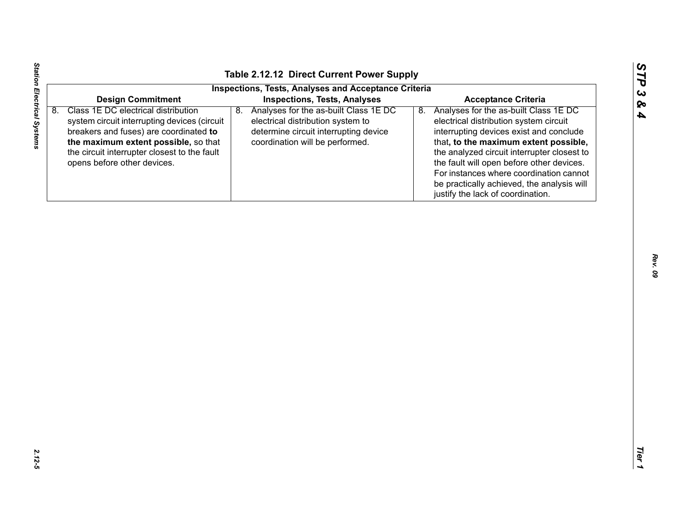| n  |
|----|
| ట  |
| Ø۹ |
| A  |

| 8. | <b>Design Commitment</b><br>Class 1E DC electrical distribution                                                                                                                                               | <b>Inspections, Tests, Analyses and Acceptance Criteria</b><br><b>Inspections, Tests, Analyses</b>                                                           | <b>Acceptance Criteria</b>                                                                                                                                                                                                                                                                                                                                                                          |
|----|---------------------------------------------------------------------------------------------------------------------------------------------------------------------------------------------------------------|--------------------------------------------------------------------------------------------------------------------------------------------------------------|-----------------------------------------------------------------------------------------------------------------------------------------------------------------------------------------------------------------------------------------------------------------------------------------------------------------------------------------------------------------------------------------------------|
|    |                                                                                                                                                                                                               |                                                                                                                                                              |                                                                                                                                                                                                                                                                                                                                                                                                     |
|    |                                                                                                                                                                                                               |                                                                                                                                                              |                                                                                                                                                                                                                                                                                                                                                                                                     |
|    | system circuit interrupting devices (circuit<br>breakers and fuses) are coordinated to<br>the maximum extent possible, so that<br>the circuit interrupter closest to the fault<br>opens before other devices. | Analyses for the as-built Class 1E DC<br>8.<br>electrical distribution system to<br>determine circuit interrupting device<br>coordination will be performed. | Analyses for the as-built Class 1E DC<br>8.<br>electrical distribution system circuit<br>interrupting devices exist and conclude<br>that, to the maximum extent possible,<br>the analyzed circuit interrupter closest to<br>the fault will open before other devices.<br>For instances where coordination cannot<br>be practically achieved, the analysis will<br>justify the lack of coordination. |
|    |                                                                                                                                                                                                               |                                                                                                                                                              |                                                                                                                                                                                                                                                                                                                                                                                                     |

Station Electrical Systems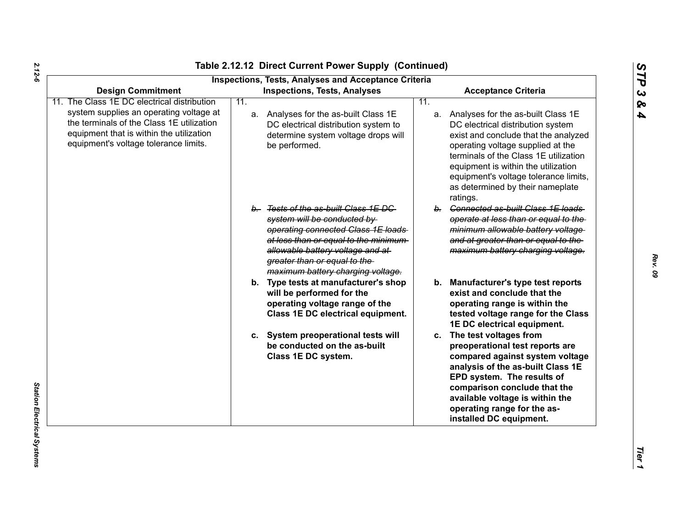| <b>Design Commitment</b>                                                                                                                                                  |     | <b>Inspections, Tests, Analyses and Acceptance Criteria</b><br><b>Inspections, Tests, Analyses</b>                                                                                                                                                           |     | <b>Acceptance Criteria</b>                                                                                                                                                                                                                                                                                                       |
|---------------------------------------------------------------------------------------------------------------------------------------------------------------------------|-----|--------------------------------------------------------------------------------------------------------------------------------------------------------------------------------------------------------------------------------------------------------------|-----|----------------------------------------------------------------------------------------------------------------------------------------------------------------------------------------------------------------------------------------------------------------------------------------------------------------------------------|
| The Class 1E DC electrical distribution                                                                                                                                   | 11. |                                                                                                                                                                                                                                                              | 11. |                                                                                                                                                                                                                                                                                                                                  |
| system supplies an operating voltage at<br>the terminals of the Class 1E utilization<br>equipment that is within the utilization<br>equipment's voltage tolerance limits. |     | a. Analyses for the as-built Class 1E<br>DC electrical distribution system to<br>determine system voltage drops will<br>be performed.                                                                                                                        |     | a. Analyses for the as-built Class 1E<br>DC electrical distribution system<br>exist and conclude that the analyzed<br>operating voltage supplied at the<br>terminals of the Class 1E utilization<br>equipment is within the utilization<br>equipment's voltage tolerance limits,<br>as determined by their nameplate<br>ratings. |
|                                                                                                                                                                           |     | b. Tests of the as-built Class 1E DC<br>system will be conducted by<br>operating connected Class 1E loads<br>at less than or equal to the minimum-<br>allowable battery voltage and at-<br>greater than or equal to the<br>maximum battery charging voltage. |     | b. Connected as-built Class 1E loads<br>operate at less than or equal to the<br>minimum allowable battery voltage<br>and at greater than or equal to the<br>maximum battery charging voltage.                                                                                                                                    |
|                                                                                                                                                                           |     | b. Type tests at manufacturer's shop<br>will be performed for the<br>operating voltage range of the<br>Class 1E DC electrical equipment.                                                                                                                     |     | b. Manufacturer's type test reports<br>exist and conclude that the<br>operating range is within the<br>tested voltage range for the Class<br>1E DC electrical equipment.                                                                                                                                                         |
|                                                                                                                                                                           |     | c. System preoperational tests will<br>be conducted on the as-built<br>Class 1E DC system.                                                                                                                                                                   |     | c. The test voltages from<br>preoperational test reports are<br>compared against system voltage<br>analysis of the as-built Class 1E<br>EPD system. The results of<br>comparison conclude that the<br>available voltage is within the<br>operating range for the as-<br>installed DC equipment.                                  |

*2.12-6*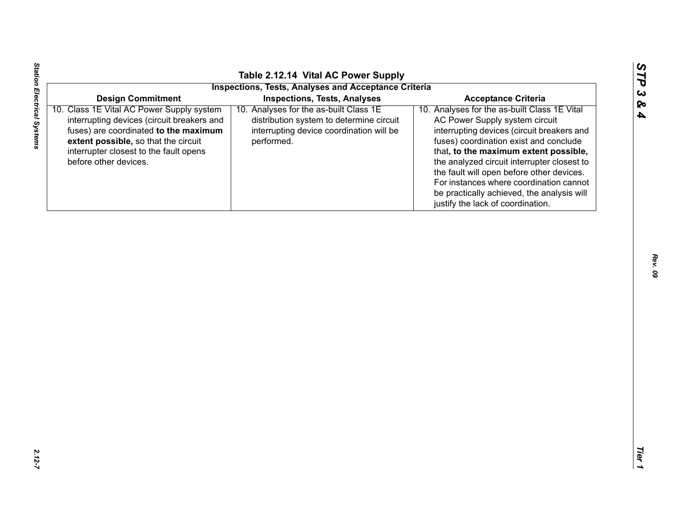| ပာ      |
|---------|
| U       |
| L.<br>د |
| پا<br>ο |
|         |
|         |

|                                                                                                                                                                                                                                             | Table 2.12.14 Vital AC Power Supply<br><b>Inspections, Tests, Analyses and Acceptance Criteria</b>                                           |                                                                                                                                                                                                                                                                                                                                                                                                                                           |
|---------------------------------------------------------------------------------------------------------------------------------------------------------------------------------------------------------------------------------------------|----------------------------------------------------------------------------------------------------------------------------------------------|-------------------------------------------------------------------------------------------------------------------------------------------------------------------------------------------------------------------------------------------------------------------------------------------------------------------------------------------------------------------------------------------------------------------------------------------|
| <b>Design Commitment</b>                                                                                                                                                                                                                    | <b>Inspections, Tests, Analyses</b>                                                                                                          | <b>Acceptance Criteria</b>                                                                                                                                                                                                                                                                                                                                                                                                                |
| 10. Class 1E Vital AC Power Supply system<br>interrupting devices (circuit breakers and<br>fuses) are coordinated to the maximum<br>extent possible, so that the circuit<br>interrupter closest to the fault opens<br>before other devices. | 10. Analyses for the as-built Class 1E<br>distribution system to determine circuit<br>interrupting device coordination will be<br>performed. | 10. Analyses for the as-built Class 1E Vital<br>AC Power Supply system circuit<br>interrupting devices (circuit breakers and<br>fuses) coordination exist and conclude<br>that, to the maximum extent possible,<br>the analyzed circuit interrupter closest to<br>the fault will open before other devices.<br>For instances where coordination cannot<br>be practically achieved, the analysis will<br>justify the lack of coordination. |
|                                                                                                                                                                                                                                             |                                                                                                                                              |                                                                                                                                                                                                                                                                                                                                                                                                                                           |